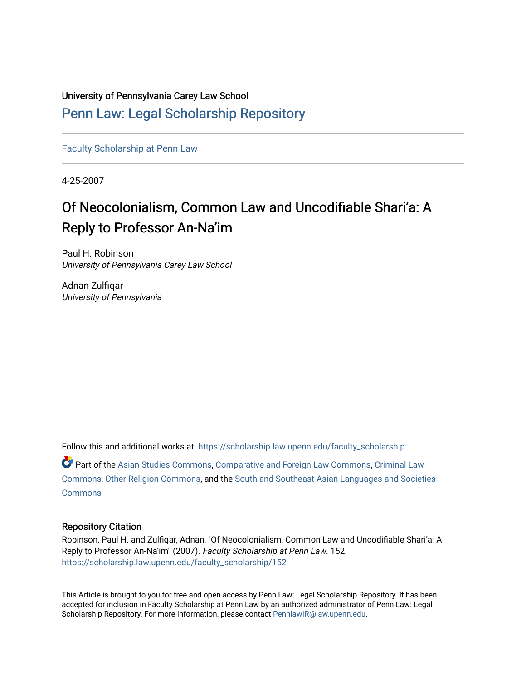University of Pennsylvania Carey Law School

# [Penn Law: Legal Scholarship Repository](https://scholarship.law.upenn.edu/)

[Faculty Scholarship at Penn Law](https://scholarship.law.upenn.edu/faculty_scholarship)

4-25-2007

# Of Neocolonialism, Common Law and Uncodifiable Shari'a: A Reply to Professor An-Na'im

Paul H. Robinson University of Pennsylvania Carey Law School

Adnan Zulfiqar University of Pennsylvania

Follow this and additional works at: [https://scholarship.law.upenn.edu/faculty\\_scholarship](https://scholarship.law.upenn.edu/faculty_scholarship?utm_source=scholarship.law.upenn.edu%2Ffaculty_scholarship%2F152&utm_medium=PDF&utm_campaign=PDFCoverPages)  Part of the [Asian Studies Commons,](http://network.bepress.com/hgg/discipline/361?utm_source=scholarship.law.upenn.edu%2Ffaculty_scholarship%2F152&utm_medium=PDF&utm_campaign=PDFCoverPages) [Comparative and Foreign Law Commons,](http://network.bepress.com/hgg/discipline/836?utm_source=scholarship.law.upenn.edu%2Ffaculty_scholarship%2F152&utm_medium=PDF&utm_campaign=PDFCoverPages) [Criminal Law](http://network.bepress.com/hgg/discipline/912?utm_source=scholarship.law.upenn.edu%2Ffaculty_scholarship%2F152&utm_medium=PDF&utm_campaign=PDFCoverPages)  [Commons](http://network.bepress.com/hgg/discipline/912?utm_source=scholarship.law.upenn.edu%2Ffaculty_scholarship%2F152&utm_medium=PDF&utm_campaign=PDFCoverPages), [Other Religion Commons,](http://network.bepress.com/hgg/discipline/545?utm_source=scholarship.law.upenn.edu%2Ffaculty_scholarship%2F152&utm_medium=PDF&utm_campaign=PDFCoverPages) and the [South and Southeast Asian Languages and Societies](http://network.bepress.com/hgg/discipline/487?utm_source=scholarship.law.upenn.edu%2Ffaculty_scholarship%2F152&utm_medium=PDF&utm_campaign=PDFCoverPages) **[Commons](http://network.bepress.com/hgg/discipline/487?utm_source=scholarship.law.upenn.edu%2Ffaculty_scholarship%2F152&utm_medium=PDF&utm_campaign=PDFCoverPages)** 

# Repository Citation

Robinson, Paul H. and Zulfiqar, Adnan, "Of Neocolonialism, Common Law and Uncodifiable Shari'a: A Reply to Professor An-Na'im" (2007). Faculty Scholarship at Penn Law. 152. [https://scholarship.law.upenn.edu/faculty\\_scholarship/152](https://scholarship.law.upenn.edu/faculty_scholarship/152?utm_source=scholarship.law.upenn.edu%2Ffaculty_scholarship%2F152&utm_medium=PDF&utm_campaign=PDFCoverPages) 

This Article is brought to you for free and open access by Penn Law: Legal Scholarship Repository. It has been accepted for inclusion in Faculty Scholarship at Penn Law by an authorized administrator of Penn Law: Legal Scholarship Repository. For more information, please contact [PennlawIR@law.upenn.edu.](mailto:PennlawIR@law.upenn.edu)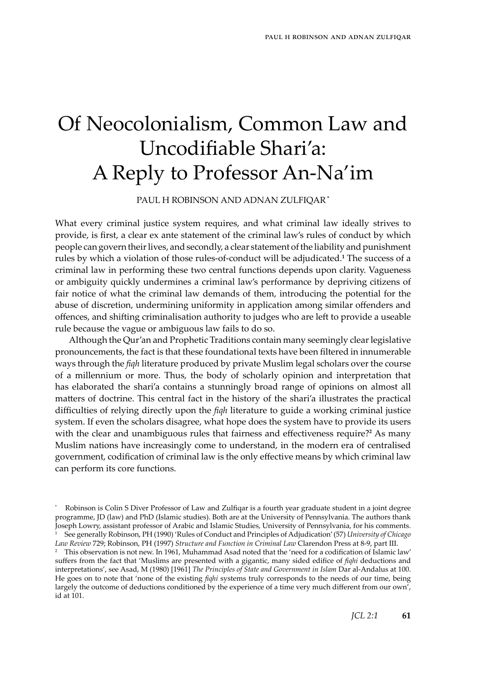# Of Neocolonialism, Common Law and Uncodifiable Shari'a: A Reply to Professor An-Na'im

Paul H Robinson and Adnan Zulfiqar **\***

What every criminal justice system requires, and what criminal law ideally strives to provide, is first, a clear ex ante statement of the criminal law's rules of conduct by which people can govern their lives, and secondly, a clear statement of the liability and punishment rules by which a violation of those rules-of-conduct will be adjudicated.<sup>1</sup> The success of a criminal law in performing these two central functions depends upon clarity. Vagueness or ambiguity quickly undermines a criminal law's performance by depriving citizens of fair notice of what the criminal law demands of them, introducing the potential for the abuse of discretion, undermining uniformity in application among similar offenders and offences, and shifting criminalisation authority to judges who are left to provide a useable rule because the vague or ambiguous law fails to do so.

Although the Qur'an and Prophetic Traditions contain many seemingly clear legislative pronouncements, the fact is that these foundational texts have been filtered in innumerable ways through the *fiqh* literature produced by private Muslim legal scholars over the course of a millennium or more. Thus, the body of scholarly opinion and interpretation that has elaborated the shari'a contains a stunningly broad range of opinions on almost all matters of doctrine. This central fact in the history of the shari'a illustrates the practical difficulties of relying directly upon the *fiqh* literature to guide a working criminal justice system. If even the scholars disagree, what hope does the system have to provide its users with the clear and unambiguous rules that fairness and effectiveness require?<sup>2</sup> As many Muslim nations have increasingly come to understand, in the modern era of centralised government, codification of criminal law is the only effective means by which criminal law can perform its core functions.

<sup>\*</sup> Robinson is Colin S Diver Professor of Law and Zulfiqar is a fourth year graduate student in a joint degree programme, JD (law) and PhD (Islamic studies). Both are at the University of Pennsylvania. The authors thank Joseph Lowry, assistant professor of Arabic and Islamic Studies, University of Pennsylvania, for his comments. See generally Robinson, PH (1990) 'Rules of Conduct and Principles of Adjudication' (57) *University of Chicago Law Review* 729; Robinson, PH (1997) *Structure and Function in Criminal Law* Clarendon Press at 8-9, part III.

 $2$  This observation is not new. In 1961, Muhammad Asad noted that the 'need for a codification of Islamic law' suffers from the fact that 'Muslims are presented with a gigantic, many sided edifice of *fiqhi* deductions and interpretations', see Asad, M (1980) [1961] *The Principles of State and Government in Islam* Dar al-Andalus at 100. He goes on to note that 'none of the existing *fiqhi* systems truly corresponds to the needs of our time, being largely the outcome of deductions conditioned by the experience of a time very much different from our own', id at 101.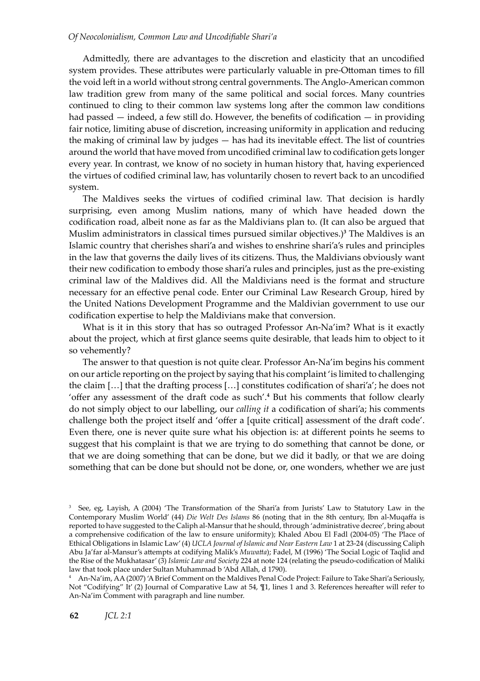Admittedly, there are advantages to the discretion and elasticity that an uncodified system provides. These attributes were particularly valuable in pre-Ottoman times to fill the void left in a world without strong central governments. The Anglo-American common law tradition grew from many of the same political and social forces. Many countries continued to cling to their common law systems long after the common law conditions had passed — indeed, a few still do. However, the benefits of codification — in providing fair notice, limiting abuse of discretion, increasing uniformity in application and reducing the making of criminal law by judges — has had its inevitable effect. The list of countries around the world that have moved from uncodified criminal law to codification gets longer every year. In contrast, we know of no society in human history that, having experienced the virtues of codified criminal law, has voluntarily chosen to revert back to an uncodified system.

The Maldives seeks the virtues of codified criminal law. That decision is hardly surprising, even among Muslim nations, many of which have headed down the codification road, albeit none as far as the Maldivians plan to. (It can also be argued that Muslim administrators in classical times pursued similar objectives.) The Maldives is an Islamic country that cherishes shari'a and wishes to enshrine shari'a's rules and principles in the law that governs the daily lives of its citizens. Thus, the Maldivians obviously want their new codification to embody those shari'a rules and principles, just as the pre-existing criminal law of the Maldives did. All the Maldivians need is the format and structure necessary for an effective penal code. Enter our Criminal Law Research Group, hired by the United Nations Development Programme and the Maldivian government to use our codification expertise to help the Maldivians make that conversion.

What is it in this story that has so outraged Professor An-Na'im? What is it exactly about the project, which at first glance seems quite desirable, that leads him to object to it so vehemently?

The answer to that question is not quite clear. Professor An-Na'im begins his comment on our article reporting on the project by saying that his complaint 'is limited to challenging the claim […] that the drafting process […] constitutes codification of shari'a'; he does not 'offer any assessment of the draft code as such'. $4$  But his comments that follow clearly do not simply object to our labelling, our *calling it* a codification of shari'a; his comments challenge both the project itself and 'offer a [quite critical] assessment of the draft code'. Even there, one is never quite sure what his objection is: at different points he seems to suggest that his complaint is that we are trying to do something that cannot be done, or that we are doing something that can be done, but we did it badly, or that we are doing something that can be done but should not be done, or, one wonders, whether we are just

<sup>&</sup>lt;sup>3</sup> See, eg, Layish, A (2004) 'The Transformation of the Shari'a from Jurists' Law to Statutory Law in the Contemporary Muslim World' (44) *Die Welt Des Islams* 86 (noting that in the 8th century, Ibn al-Muqaffa is reported to have suggested to the Caliph al-Mansur that he should, through 'administrative decree', bring about a comprehensive codification of the law to ensure uniformity); Khaled Abou El Fadl (2004-05) 'The Place of Ethical Obligations in Islamic Law' (4) *UCLA Journal of Islamic and Near Eastern Law* 1 at 23-24 (discussing Caliph Abu Ja'far al-Mansur's attempts at codifying Malik's *Muwatta*); Fadel, M (1996) 'The Social Logic of Taqlid and the Rise of the Mukhatasar' (3) *Islamic Law and Society* 224 at note 124 (relating the pseudo-codification of Maliki law that took place under Sultan Muhammad b 'Abd Allah, d 1790).

An-Na'im, AA (2007) 'A Brief Comment on the Maldives Penal Code Project: Failure to Take Shari'a Seriously, Not "Codifying" It' (2) Journal of Comparative Law at 54, ¶1, lines 1 and 3. References hereafter will refer to An-Na'im Comment with paragraph and line number.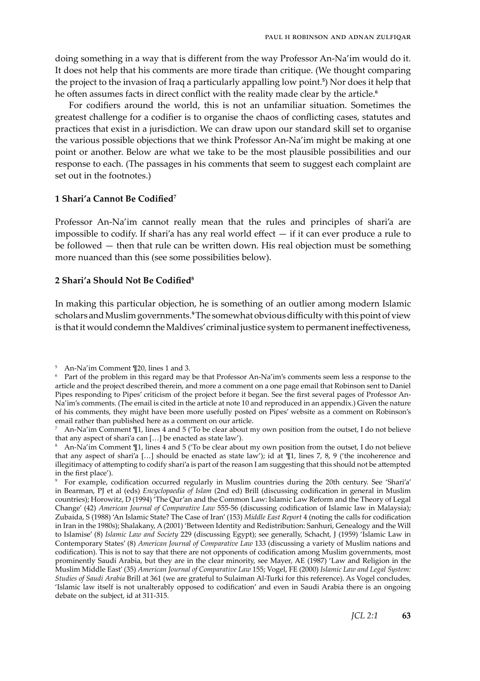doing something in a way that is different from the way Professor An-Na'im would do it. It does not help that his comments are more tirade than critique. (We thought comparing the project to the invasion of Iraq a particularly appalling low point. ) Nor does it help that he often assumes facts in direct conflict with the reality made clear by the article.

For codifiers around the world, this is not an unfamiliar situation. Sometimes the greatest challenge for a codifier is to organise the chaos of conflicting cases, statutes and practices that exist in a jurisdiction. We can draw upon our standard skill set to organise the various possible objections that we think Professor An-Na'im might be making at one point or another. Below are what we take to be the most plausible possibilities and our response to each. (The passages in his comments that seem to suggest each complaint are set out in the footnotes.)

#### **1 Shari'a Cannot Be Codified**

Professor An-Na'im cannot really mean that the rules and principles of shari'a are impossible to codify. If shari'a has any real world effect — if it can ever produce a rule to be followed — then that rule can be written down. His real objection must be something more nuanced than this (see some possibilities below).

#### **2 Shari'a Should Not Be Codified**

In making this particular objection, he is something of an outlier among modern Islamic scholars and Muslim governments. The somewhat obvious difficulty with this point of view is that it would condemn the Maldives' criminal justice system to permanent ineffectiveness,

An-Na'im Comment ¶20, lines 1 and 3.

<sup>&</sup>lt;sup>6</sup> Part of the problem in this regard may be that Professor An-Na'im's comments seem less a response to the article and the project described therein, and more a comment on a one page email that Robinson sent to Daniel Pipes responding to Pipes' criticism of the project before it began. See the first several pages of Professor An-Na'im's comments. (The email is cited in the article at note 10 and reproduced in an appendix.) Given the nature of his comments, they might have been more usefully posted on Pipes' website as a comment on Robinson's email rather than published here as a comment on our article.

 $\frac{7}{1}$  An-Na'im Comment  $\frac{1}{1}$ , lines 4 and 5 (To be clear about my own position from the outset, I do not believe that any aspect of shari'a can […] be enacted as state law').

 $^8$  An-Na'im Comment T1, lines 4 and 5 (To be clear about my own position from the outset, I do not believe that any aspect of shari'a […] should be enacted as state law'); id at ¶1, lines 7, 8, 9 ('the incoherence and illegitimacy of attempting to codify shari'a is part of the reason I am suggesting that this should not be attempted in the first place').

For example, codification occurred regularly in Muslim countries during the 20th century. See 'Shari'a' in Bearman, PJ et al (eds) *Encyclopaedia of Islam* (2nd ed) Brill (discussing codification in general in Muslim countries); Horowitz, D (1994) 'The Qur'an and the Common Law: Islamic Law Reform and the Theory of Legal Change' (42) *American Journal of Comparative Law* 555-56 (discussing codification of Islamic law in Malaysia); Zubaida, S (1988) 'An Islamic State? The Case of Iran' (153) *Middle East Report* 4 (noting the calls for codification in Iran in the 1980s); Shalakany, A (2001) 'Between Identity and Redistribution: Sanhuri, Genealogy and the Will to Islamise' (8) *Islamic Law and Society* 229 (discussing Egypt); see generally, Schacht, J (1959) 'Islamic Law in Contemporary States' (8) *American Journal of Comparative Law* 133 (discussing a variety of Muslim nations and codification). This is not to say that there are not opponents of codification among Muslim governments, most prominently Saudi Arabia, but they are in the clear minority, see Mayer, AE (1987) 'Law and Religion in the Muslim Middle East' (35) *American Journal of Comparative Law* 155; Vogel, FE (2000) *Islamic Law and Legal System: Studies of Saudi Arabia* Brill at 361 (we are grateful to Sulaiman Al-Turki for this reference). As Vogel concludes, 'Islamic law itself is not unalterably opposed to codification' and even in Saudi Arabia there is an ongoing debate on the subject, id at 311-315.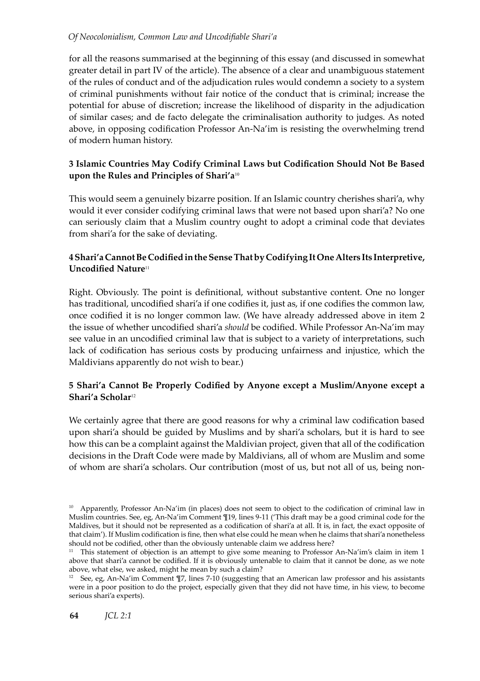#### *Of Neocolonialism, Common Law and Uncodifiable Shari'a*

for all the reasons summarised at the beginning of this essay (and discussed in somewhat greater detail in part IV of the article). The absence of a clear and unambiguous statement of the rules of conduct and of the adjudication rules would condemn a society to a system of criminal punishments without fair notice of the conduct that is criminal; increase the potential for abuse of discretion; increase the likelihood of disparity in the adjudication of similar cases; and de facto delegate the criminalisation authority to judges. As noted above, in opposing codification Professor An-Na'im is resisting the overwhelming trend of modern human history.

### **3 Islamic Countries May Codify Criminal Laws but Codification Should Not Be Based upon the Rules and Principles of Shari'a**<sup>10</sup>

This would seem a genuinely bizarre position. If an Islamic country cherishes shari'a, why would it ever consider codifying criminal laws that were not based upon shari'a? No one can seriously claim that a Muslim country ought to adopt a criminal code that deviates from shari'a for the sake of deviating.

## **4 Shari'a Cannot Be Codified in the Sense That by Codifying It One Alters Its Interpretive, Uncodified Nature<sup>11</sup>**

Right. Obviously. The point is definitional, without substantive content. One no longer has traditional, uncodified shari'a if one codifies it, just as, if one codifies the common law, once codified it is no longer common law. (We have already addressed above in item 2 the issue of whether uncodified shari'a *should* be codified. While Professor An-Na'im may see value in an uncodified criminal law that is subject to a variety of interpretations, such lack of codification has serious costs by producing unfairness and injustice, which the Maldivians apparently do not wish to bear.)

## **5 Shari'a Cannot Be Properly Codified by Anyone except a Muslim/Anyone except a Shari'a Scholar**<sup>12</sup>

We certainly agree that there are good reasons for why a criminal law codification based upon shari'a should be guided by Muslims and by shari'a scholars, but it is hard to see how this can be a complaint against the Maldivian project, given that all of the codification decisions in the Draft Code were made by Maldivians, all of whom are Muslim and some of whom are shari'a scholars. Our contribution (most of us, but not all of us, being non-

<sup>&</sup>lt;sup>10</sup> Apparently, Professor An-Na'im (in places) does not seem to object to the codification of criminal law in Muslim countries. See, eg, An-Na'im Comment ¶19, lines 9-11 ('This draft may be a good criminal code for the Maldives, but it should not be represented as a codification of shari'a at all. It is, in fact, the exact opposite of that claim'). If Muslim codification is fine, then what else could he mean when he claims that shari'a nonetheless should not be codified, other than the obviously untenable claim we address here?

<sup>&</sup>lt;sup>11</sup> This statement of objection is an attempt to give some meaning to Professor An-Na'im's claim in item 1 above that shari'a cannot be codified. If it is obviously untenable to claim that it cannot be done, as we note above, what else, we asked, might he mean by such a claim?

<sup>&</sup>lt;sup>12</sup> See, eg, An-Na'im Comment  $\P$ 7, lines 7-10 (suggesting that an American law professor and his assistants were in a poor position to do the project, especially given that they did not have time, in his view, to become serious shari'a experts).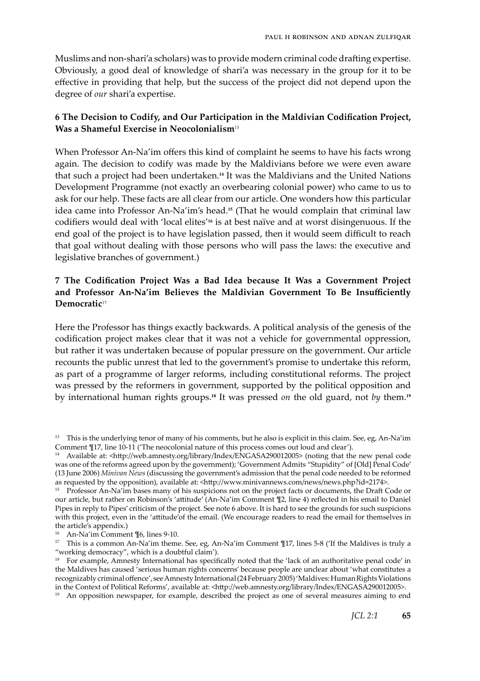Muslims and non-shari'a scholars) was to provide modern criminal code drafting expertise. Obviously, a good deal of knowledge of shari'a was necessary in the group for it to be effective in providing that help, but the success of the project did not depend upon the degree of *our* shari'a expertise.

#### **6 The Decision to Codify, and Our Participation in the Maldivian Codification Project, Was a Shameful Exercise in Neocolonialism**<sup>13</sup>

When Professor An-Na'im offers this kind of complaint he seems to have his facts wrong again. The decision to codify was made by the Maldivians before we were even aware that such a project had been undertaken.**<sup>14</sup>** It was the Maldivians and the United Nations Development Programme (not exactly an overbearing colonial power) who came to us to ask for our help. These facts are all clear from our article. One wonders how this particular idea came into Professor An-Na'im's head.**15** (That he would complain that criminal law codifiers would deal with 'local elites'**16** is at best naïve and at worst disingenuous. If the end goal of the project is to have legislation passed, then it would seem difficult to reach that goal without dealing with those persons who will pass the laws: the executive and legislative branches of government.)

#### **7 The Codification Project Was a Bad Idea because It Was a Government Project and Professor An-Na'im Believes the Maldivian Government To Be Insufficiently Democratic**<sup>17</sup>

Here the Professor has things exactly backwards. A political analysis of the genesis of the codification project makes clear that it was not a vehicle for governmental oppression, but rather it was undertaken because of popular pressure on the government. Our article recounts the public unrest that led to the government's promise to undertake this reform, as part of a programme of larger reforms, including constitutional reforms. The project was pressed by the reformers in government, supported by the political opposition and by international human rights groups.**<sup>18</sup>** It was pressed *on* the old guard, not *by* them.**<sup>19</sup>**

<sup>16</sup> An-Na'im Comment ¶6, lines 9-10.

<sup>19</sup> An opposition newspaper, for example, described the project as one of several measures aiming to end

<sup>&</sup>lt;sup>13</sup> This is the underlying tenor of many of his comments, but he also is explicit in this claim. See, eg, An-Na'im Comment ¶17, line 10-11 ('The neocolonial nature of this process comes out loud and clear').

<sup>14</sup> Available at: <http://web.amnesty.org/library/Index/ENGASA290012005> (noting that the new penal code was one of the reforms agreed upon by the government); 'Government Admits "Stupidity" of [Old] Penal Code' (13 June 2006) *Minivan News* (discussing the government's admission that the penal code needed to be reformed as requested by the opposition), available at: <http://www.minivannews.com/news/news.php?id=2174>.

<sup>&</sup>lt;sup>15</sup> Professor An-Na<sup>1</sup>im bases many of his suspicions not on the project facts or documents, the Draft Code or our article, but rather on Robinson's 'attitude' (An-Na'im Comment ¶2, line 4) reflected in his email to Daniel Pipes in reply to Pipes' criticism of the project. See note 6 above. It is hard to see the grounds for such suspicions with this project, even in the 'attitude'of the email. (We encourage readers to read the email for themselves in the article's appendix.)

<sup>&</sup>lt;sup>17</sup> This is a common An-Na'im theme. See, eg, An-Na'im Comment  $\P$ 17, lines 5-8 ('If the Maldives is truly a "working democracy", which is a doubtful claim').

<sup>&</sup>lt;sup>18</sup> For example, Amnesty International has specifically noted that the 'lack of an authoritative penal code' in the Maldives has caused 'serious human rights concerns' because people are unclear about 'what constitutes a recognizably criminal offence', see Amnesty International (24 February 2005) 'Maldives: Human Rights Violations in the Context of Political Reforms', available at: <http://web.amnesty.org/library/Index/ENGASA290012005>.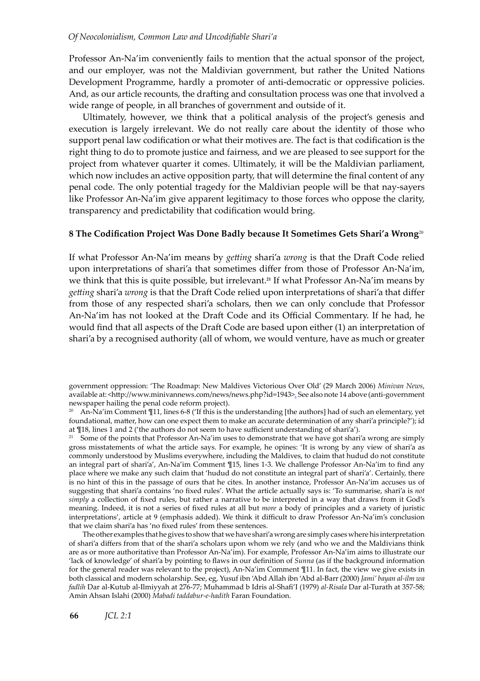Professor An-Na'im conveniently fails to mention that the actual sponsor of the project, and our employer, was not the Maldivian government, but rather the United Nations Development Programme, hardly a promoter of anti-democratic or oppressive policies. And, as our article recounts, the drafting and consultation process was one that involved a wide range of people, in all branches of government and outside of it.

Ultimately, however, we think that a political analysis of the project's genesis and execution is largely irrelevant. We do not really care about the identity of those who support penal law codification or what their motives are. The fact is that codification is the right thing to do to promote justice and fairness, and we are pleased to see support for the project from whatever quarter it comes. Ultimately, it will be the Maldivian parliament, which now includes an active opposition party, that will determine the final content of any penal code. The only potential tragedy for the Maldivian people will be that nay-sayers like Professor An-Na'im give apparent legitimacy to those forces who oppose the clarity, transparency and predictability that codification would bring.

#### **8 The Codification Project Was Done Badly because It Sometimes Gets Shari'a Wrong**<sup>20</sup>

If what Professor An-Na'im means by *getting* shari'a *wrong* is that the Draft Code relied upon interpretations of shari'a that sometimes differ from those of Professor An-Na'im, we think that this is quite possible, but irrelevant.**<sup>21</sup>** If what Professor An-Na'im means by *getting* shari'a *wrong* is that the Draft Code relied upon interpretations of shari'a that differ from those of any respected shari'a scholars, then we can only conclude that Professor An-Na'im has not looked at the Draft Code and its Official Commentary. If he had, he would find that all aspects of the Draft Code are based upon either (1) an interpretation of shari'a by a recognised authority (all of whom, we would venture, have as much or greater

government oppression: 'The Roadmap: New Maldives Victorious Over Old' (29 March 2006) *Minivan News*, available at: <http://www.minivannews.com/news/news.php?id=1943>. See also note 14 above (anti-government newspaper hailing the penal code reform project).

<sup>20</sup> An-Na'im Comment  $\Pi$ 11, lines 6-8 ('If this is the understanding [the authors] had of such an elementary, yet foundational, matter, how can one expect them to make an accurate determination of any shari'a principle?'); id at ¶18, lines 1 and 2 ('the authors do not seem to have sufficient understanding of shari'a').

<sup>21</sup> Some of the points that Professor An-Na'im uses to demonstrate that we have got shari'a wrong are simply gross misstatements of what the article says. For example, he opines: 'It is wrong by any view of shari'a as commonly understood by Muslims everywhere, including the Maldives, to claim that hudud do not constitute an integral part of shari'a', An-Na'im Comment ¶15, lines 1-3. We challenge Professor An-Na'im to find any place where we make any such claim that 'hudud do not constitute an integral part of shari'a'. Certainly, there is no hint of this in the passage of ours that he cites. In another instance, Professor An-Na'im accuses us of suggesting that shari'a contains 'no fixed rules'. What the article actually says is: 'To summarise, shari'a is *not simply* a collection of fixed rules, but rather a narrative to be interpreted in a way that draws from it God's meaning. Indeed, it is not a series of fixed rules at all but *more* a body of principles and a variety of juristic interpretations', article at 9 (emphasis added). We think it difficult to draw Professor An-Na'im's conclusion that we claim shari'a has 'no fixed rules' from these sentences.

The other examples that he gives to show that we have shari'a wrong are simply cases where his interpretation of shari'a differs from that of the shari'a scholars upon whom we rely (and who we and the Maldivians think are as or more authoritative than Professor An-Na'im). For example, Professor An-Na'im aims to illustrate our 'lack of knowledge' of shari'a by pointing to flaws in our definition of *Sunna* (as if the background information for the general reader was relevant to the project), An-Na'im Comment ¶11. In fact, the view we give exists in both classical and modern scholarship. See, eg, Yusuf ibn 'Abd Allah ibn 'Abd al-Barr (2000) *Jami' bayan al-ilm wa fadlih* Dar al-Kutub al-Ilmiyyah at 276-77; Muhammad b Idris al-Shafi'I (1979) *al-Risala* Dar al-Turath at 357-58; Amin Ahsan Islahi (2000) *Mabadi taddabur-e-hadith* Faran Foundation.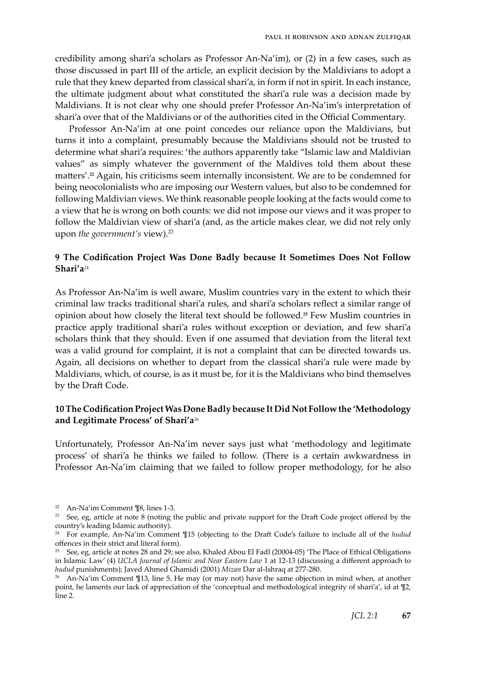credibility among shari'a scholars as Professor An-Na'im), or (2) in a few cases, such as those discussed in part III of the article, an explicit decision by the Maldivians to adopt a rule that they knew departed from classical shari'a, in form if not in spirit. In each instance, the ultimate judgment about what constituted the shari'a rule was a decision made by Maldivians. It is not clear why one should prefer Professor An-Na'im's interpretation of shari'a over that of the Maldivians or of the authorities cited in the Official Commentary.

Professor An-Na'im at one point concedes our reliance upon the Maldivians, but turns it into a complaint, presumably because the Maldivians should not be trusted to determine what shari'a requires: 'the authors apparently take "Islamic law and Maldivian values" as simply whatever the government of the Maldives told them about these matters'.**22** Again, his criticisms seem internally inconsistent. We are to be condemned for being neocolonialists who are imposing our Western values, but also to be condemned for following Maldivian views. We think reasonable people looking at the facts would come to a view that he is wrong on both counts: we did not impose our views and it was proper to follow the Maldivian view of shari'a (and, as the article makes clear, we did not rely only upon *the government's* view).<sup>23</sup>

#### **9 The Codification Project Was Done Badly because It Sometimes Does Not Follow Shari'a**<sup>24</sup>

As Professor An-Na'im is well aware, Muslim countries vary in the extent to which their criminal law tracks traditional shari'a rules, and shari'a scholars reflect a similar range of opinion about how closely the literal text should be followed.**<sup>25</sup>** Few Muslim countries in practice apply traditional shari'a rules without exception or deviation, and few shari'a scholars think that they should. Even if one assumed that deviation from the literal text was a valid ground for complaint, it is not a complaint that can be directed towards us. Again, all decisions on whether to depart from the classical shari'a rule were made by Maldivians, which, of course, is as it must be, for it is the Maldivians who bind themselves by the Draft Code.

#### **10 The Codification Project Was Done Badly because It Did Not Follow the 'Methodology and Legitimate Process' of Shari'a**<sup>26</sup>

Unfortunately, Professor An-Na'im never says just what 'methodology and legitimate process' of shari'a he thinks we failed to follow. (There is a certain awkwardness in Professor An-Na'im claiming that we failed to follow proper methodology, for he also

<sup>22</sup> An-Na'im Comment ¶8, lines 1-3.

<sup>&</sup>lt;sup>23</sup> See, eg, article at note 8 (noting the public and private support for the Draft Code project offered by the country's leading Islamic authority).

<sup>24</sup> For example, An-Na'im Comment ¶15 (objecting to the Draft Code's failure to include all of the *hudud* offences in their strict and literal form).

<sup>&</sup>lt;sup>25</sup> See, eg, article at notes 28 and 29; see also, Khaled Abou El Fadl (20004-05) 'The Place of Ethical Obligations in Islamic Law' (4) *UCLA Journal of Islamic and Near Eastern Law* 1 at 12-13 (discussing a different approach to *hudud* punishments); Javed Ahmed Ghamidi (2001) *Mizan* Dar al-Ishraq at 277-280.

<sup>&</sup>lt;sup>26</sup> An-Na'im Comment  $\Pi$ 13, line 5. He may (or may not) have the same objection in mind when, at another point, he laments our lack of appreciation of the 'conceptual and methodological integrity of shari'a', id at ¶2, line 2.